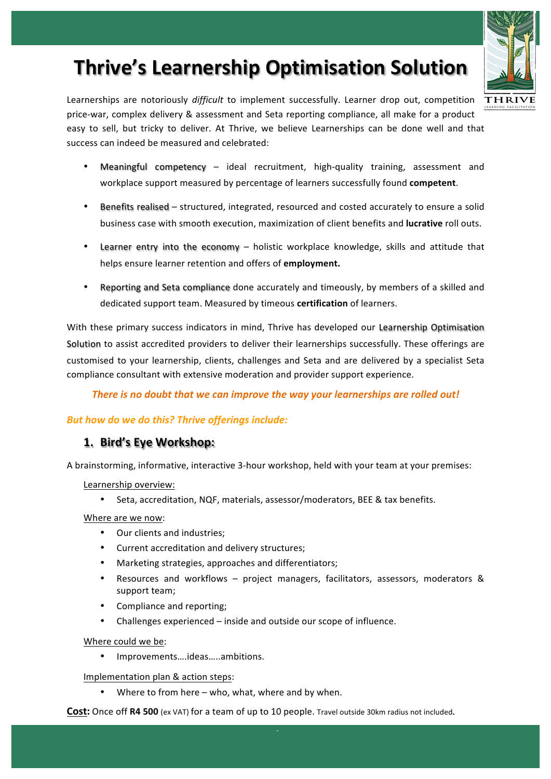# **Thrive's Learnership Optimisation Solution**



- Meaningful competency  $-$  ideal recruitment, high-quality training, assessment and workplace support measured by percentage of learners successfully found **competent**.
- Benefits realised structured, integrated, resourced and costed accurately to ensure a solid business case with smooth execution, maximization of client benefits and **lucrative** roll outs.
- Learner entry into the economy holistic workplace knowledge, skills and attitude that helps ensure learner retention and offers of **employment.**
- Reporting and Seta compliance done accurately and timeously, by members of a skilled and dedicated support team. Measured by timeous **certification** of learners.

With these primary success indicators in mind, Thrive has developed our Learnership Optimisation Solution to assist accredited providers to deliver their learnerships successfully. These offerings are customised to your learnership, clients, challenges and Seta and are delivered by a specialist Seta compliance consultant with extensive moderation and provider support experience.

There is no doubt that we can improve the way your learnerships are rolled out!

#### **But how do we do this? Thrive offerings include:**

#### **1. Bird's Eye Workshop:**

A brainstorming, informative, interactive 3-hour workshop, held with your team at your premises:

Learnership overview:

• Seta, accreditation, NQF, materials, assessor/moderators, BEE & tax benefits.

Where are we now:

- Our clients and industries:
- Current accreditation and delivery structures;
- Marketing strategies, approaches and differentiators;
- Resources and workflows project managers, facilitators, assessors, moderators & support team;
- Compliance and reporting;
- Challenges experienced inside and outside our scope of influence.

Where could we be:

• Improvements….ideas…..ambitions.

Implementation plan & action steps:

• Where to from here  $-$  who, what, where and by when.

**Cost:** Once off **R4 500** (ex VAT) for a team of up to 10 people. Travel outside 30km radius not included.

**`**